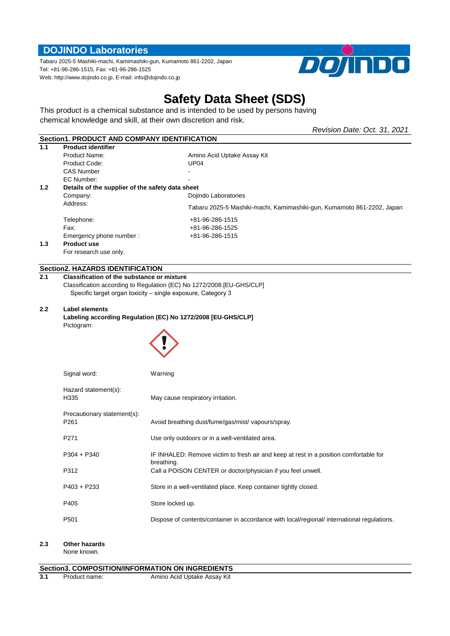## **DOJINDO Laboratories**

Tabaru 2025-5 Mashiki-machi, Kamimashiki-gun, Kumamoto 861-2202, Japan Tel: +81-96-286-1515, Fax: +81-96-286-1525 Web: http://www.dojindo.co.jp, E-mail: info@dojindo.co.jp



*Revision Date: Oct. 31, 2021*

# **Safety Data Sheet (SDS)**

This product is a chemical substance and is intended to be used by persons having chemical knowledge and skill, at their own discretion and risk.

|                  | Section1, PRODUCT AND COMPANY IDENTIFICATION      |                                                                        |  |
|------------------|---------------------------------------------------|------------------------------------------------------------------------|--|
| 1.1              | <b>Product identifier</b>                         |                                                                        |  |
|                  | Product Name:                                     | Amino Acid Uptake Assay Kit                                            |  |
|                  | Product Code:                                     | UP <sub>04</sub>                                                       |  |
|                  | <b>CAS Number</b>                                 |                                                                        |  |
|                  | EC Number:                                        |                                                                        |  |
| 1.2 <sub>2</sub> | Details of the supplier of the safety data sheet  |                                                                        |  |
|                  | Company:                                          | Dojindo Laboratories                                                   |  |
|                  | Address:                                          | Tabaru 2025-5 Mashiki-machi, Kamimashiki-gun, Kumamoto 861-2202, Japan |  |
|                  | Telephone:                                        | +81-96-286-1515                                                        |  |
|                  | Fax:                                              | +81-96-286-1525                                                        |  |
|                  | Emergency phone number:                           | +81-96-286-1515                                                        |  |
| 1.3              | <b>Product use</b>                                |                                                                        |  |
|                  | For research use only.                            |                                                                        |  |
|                  | <b>Section2. HAZARDS IDENTIFICATION</b>           |                                                                        |  |
| 2.1              | <b>Classification of the substance or mixture</b> |                                                                        |  |

## Classification according to Regulation (EC) No 1272/2008.[EU-GHS/CLP] Specific target organ toxicity – single exposure, Category 3

#### **2.2 Label elements**

**Labeling according Regulation (EC) No 1272/2008 [EU-GHS/CLP]** Pictogram:



| Signal word:                                    | Warning                                                                                             |
|-------------------------------------------------|-----------------------------------------------------------------------------------------------------|
| Hazard statement(s):<br>H335                    | May cause respiratory irritation.                                                                   |
| Precautionary statement(s):<br>P <sub>261</sub> | Avoid breathing dust/fume/gas/mist/vapours/spray.                                                   |
| P <sub>271</sub>                                | Use only outdoors or in a well-ventilated area.                                                     |
| $P304 + P340$                                   | IF INHALED: Remove victim to fresh air and keep at rest in a position comfortable for<br>breathing. |
| P312                                            | Call a POISON CENTER or doctor/physician if you feel unwell.                                        |
| $P403 + P233$                                   | Store in a well-ventilated place. Keep container tightly closed.                                    |
| P405                                            | Store locked up.                                                                                    |
| P <sub>501</sub>                                | Dispose of contents/container in accordance with local/regional/ international regulations.         |

#### **2.3 Other hazards**

None known.

## **Section3. COMPOSITION/INFORMATION ON INGREDIENTS**<br>3.1 Product name: Amino Acid Uptake Assay Kit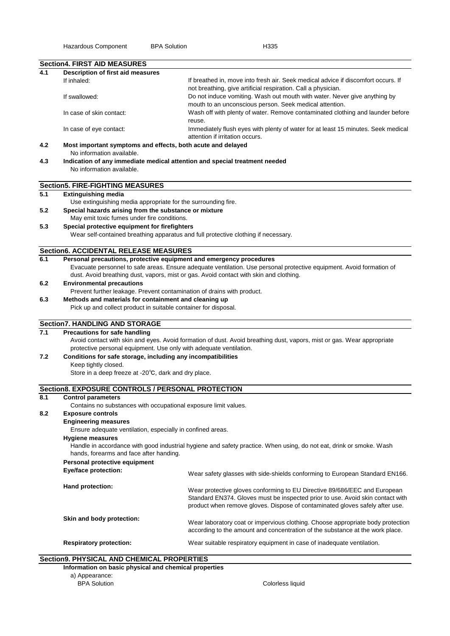|                                         | <b>Section4. FIRST AID MEASURES</b>                                                      |                                                                                                                                                                                                                                             |  |  |  |
|-----------------------------------------|------------------------------------------------------------------------------------------|---------------------------------------------------------------------------------------------------------------------------------------------------------------------------------------------------------------------------------------------|--|--|--|
| 4.1                                     | Description of first aid measures                                                        |                                                                                                                                                                                                                                             |  |  |  |
|                                         | If inhaled:                                                                              | If breathed in, move into fresh air. Seek medical advice if discomfort occurs. If<br>not breathing, give artificial respiration. Call a physician.                                                                                          |  |  |  |
|                                         | If swallowed:                                                                            | Do not induce vomiting. Wash out mouth with water. Never give anything by<br>mouth to an unconscious person. Seek medical attention.                                                                                                        |  |  |  |
|                                         | In case of skin contact:                                                                 | Wash off with plenty of water. Remove contaminated clothing and launder before<br>reuse.                                                                                                                                                    |  |  |  |
|                                         | In case of eye contact:                                                                  | Immediately flush eyes with plenty of water for at least 15 minutes. Seek medical<br>attention if irritation occurs.                                                                                                                        |  |  |  |
| 4.2                                     | Most important symptoms and effects, both acute and delayed<br>No information available. |                                                                                                                                                                                                                                             |  |  |  |
| 4.3                                     | Indication of any immediate medical attention and special treatment needed               |                                                                                                                                                                                                                                             |  |  |  |
|                                         | No information available.                                                                |                                                                                                                                                                                                                                             |  |  |  |
|                                         | <b>Section5. FIRE-FIGHTING MEASURES</b>                                                  |                                                                                                                                                                                                                                             |  |  |  |
| 5.1                                     | <b>Extinguishing media</b>                                                               |                                                                                                                                                                                                                                             |  |  |  |
|                                         | Use extinguishing media appropriate for the surrounding fire.                            |                                                                                                                                                                                                                                             |  |  |  |
| 5.2                                     | Special hazards arising from the substance or mixture                                    |                                                                                                                                                                                                                                             |  |  |  |
|                                         | May emit toxic fumes under fire conditions.                                              |                                                                                                                                                                                                                                             |  |  |  |
| 5.3                                     | Special protective equipment for firefighters                                            |                                                                                                                                                                                                                                             |  |  |  |
|                                         |                                                                                          | Wear self-contained breathing apparatus and full protective clothing if necessary.                                                                                                                                                          |  |  |  |
|                                         | <b>Section6. ACCIDENTAL RELEASE MEASURES</b>                                             |                                                                                                                                                                                                                                             |  |  |  |
| 6.1                                     | Personal precautions, protective equipment and emergency procedures                      |                                                                                                                                                                                                                                             |  |  |  |
|                                         |                                                                                          | Evacuate personnel to safe areas. Ensure adequate ventilation. Use personal protective equipment. Avoid formation of                                                                                                                        |  |  |  |
|                                         |                                                                                          | dust. Avoid breathing dust, vapors, mist or gas. Avoid contact with skin and clothing.                                                                                                                                                      |  |  |  |
| 6.2                                     | <b>Environmental precautions</b>                                                         |                                                                                                                                                                                                                                             |  |  |  |
|                                         | Prevent further leakage. Prevent contamination of drains with product.                   |                                                                                                                                                                                                                                             |  |  |  |
| 6.3                                     | Methods and materials for containment and cleaning up                                    |                                                                                                                                                                                                                                             |  |  |  |
|                                         | Pick up and collect product in suitable container for disposal.                          |                                                                                                                                                                                                                                             |  |  |  |
|                                         | <b>Section7. HANDLING AND STORAGE</b>                                                    |                                                                                                                                                                                                                                             |  |  |  |
| 7.1                                     | Precautions for safe handling                                                            |                                                                                                                                                                                                                                             |  |  |  |
|                                         |                                                                                          | Avoid contact with skin and eyes. Avoid formation of dust. Avoid breathing dust, vapors, mist or gas. Wear appropriate                                                                                                                      |  |  |  |
|                                         | protective personal equipment. Use only with adequate ventilation.                       |                                                                                                                                                                                                                                             |  |  |  |
| 7.2                                     | Conditions for safe storage, including any incompatibilities                             |                                                                                                                                                                                                                                             |  |  |  |
|                                         | Keep tightly closed.<br>Store in a deep freeze at -20°C, dark and dry place.             |                                                                                                                                                                                                                                             |  |  |  |
|                                         |                                                                                          |                                                                                                                                                                                                                                             |  |  |  |
|                                         | Section8. EXPOSURE CONTROLS / PERSONAL PROTECTION                                        |                                                                                                                                                                                                                                             |  |  |  |
| 8.1                                     | <b>Control parameters</b>                                                                |                                                                                                                                                                                                                                             |  |  |  |
|                                         | Contains no substances with occupational exposure limit values.                          |                                                                                                                                                                                                                                             |  |  |  |
| 8.2<br><b>Exposure controls</b>         |                                                                                          |                                                                                                                                                                                                                                             |  |  |  |
|                                         | <b>Engineering measures</b>                                                              |                                                                                                                                                                                                                                             |  |  |  |
|                                         | Ensure adequate ventilation, especially in confined areas.<br><b>Hygiene measures</b>    |                                                                                                                                                                                                                                             |  |  |  |
| hands, forearms and face after handing. |                                                                                          | Handle in accordance with good industrial hygiene and safety practice. When using, do not eat, drink or smoke. Wash                                                                                                                         |  |  |  |
| Personal protective equipment           |                                                                                          |                                                                                                                                                                                                                                             |  |  |  |
|                                         | Eye/face protection:                                                                     | Wear safety glasses with side-shields conforming to European Standard EN166.                                                                                                                                                                |  |  |  |
|                                         | Hand protection:                                                                         | Wear protective gloves conforming to EU Directive 89/686/EEC and European<br>Standard EN374. Gloves must be inspected prior to use. Avoid skin contact with<br>product when remove gloves. Dispose of contaminated gloves safely after use. |  |  |  |
|                                         | Skin and body protection:                                                                | Wear laboratory coat or impervious clothing. Choose appropriate body protection<br>according to the amount and concentration of the substance at the work place.                                                                            |  |  |  |
|                                         | <b>Respiratory protection:</b>                                                           | Wear suitable respiratory equipment in case of inadequate ventilation.                                                                                                                                                                      |  |  |  |

## **Section9. PHYSICAL AND CHEMICAL PROPERTIES**

| Colorless liquid |  |  |
|------------------|--|--|
|                  |  |  |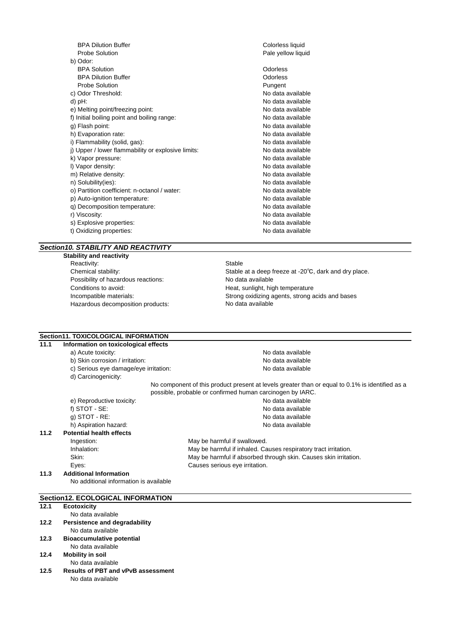| <b>BPA Dilution Buffer</b>                         | Colorless liquid   |
|----------------------------------------------------|--------------------|
| <b>Probe Solution</b>                              | Pale yellow liquid |
| b) Odor:                                           |                    |
| <b>BPA Solution</b>                                | Odorless           |
| <b>BPA Dilution Buffer</b>                         | Odorless           |
| <b>Probe Solution</b>                              | Pungent            |
| c) Odor Threshold:                                 | No data available  |
| $d$ ) pH:                                          | No data available  |
| e) Melting point/freezing point:                   | No data available  |
| f) Initial boiling point and boiling range:        | No data available  |
| g) Flash point:                                    | No data available  |
| h) Evaporation rate:                               | No data available  |
| i) Flammability (solid, gas):                      | No data available  |
| j) Upper / lower flammability or explosive limits: | No data available  |
| k) Vapor pressure:                                 | No data available  |
| I) Vapor density:                                  | No data available  |
| m) Relative density:                               | No data available  |
| n) Solubility(ies):                                | No data available  |
| o) Partition coefficient: n-octanol / water:       | No data available  |
| p) Auto-ignition temperature:                      | No data available  |
| q) Decomposition temperature:                      | No data available  |
| r) Viscosity:                                      | No data available  |
| s) Explosive properties:                           | No data available  |
| t) Oxidizing properties:                           | No data available  |
|                                                    |                    |

## *Section10. STABILITY AND REACTIVITY*

**Stability and reactivity** Reactivity: Stable<br>
Chemical stability: Stable<br>
Stable Stable Possibility of hazardous reactions: No data available Conditions to avoid: Conditions to avoid: The extra sunlight, high temperature Hazardous decomposition products:

Stable at a deep freeze at -20℃, dark and dry place. Incompatible materials: Strong oxidizing agents, strong acids and bases No data available

# **Section11. TOXICOLOGICAL INFORMATION**<br>11.1 Information on toxicological effects

### **11.1 Information on toxicological effects**

- a) Acute toxicity:  $\overline{a}$
- b) Skin corrosion / irritation: No data available c) Serious eye damage/eye irritation: No data available
	- d) Carcinogenicity:
	-
- e) Reproductive toxicity:  $\blacksquare$ f) STOT - SE: No data available g) STOT - RE:<br>
h) Aspiration hazard: No data available b) Aspiration hazard: No data available h) Aspiration hazard:

## **11.2 Potential health effects**

Ingestion: May be harmful if swallowed. Inhalation: May be harmful if inhaled. Causes respiratory tract irritation. Skin: Skin: Skin: May be harmful if absorbed through skin. Causes skin irritation. Eyes: Causes serious eye irritation.

No component of this product present at levels greater than or equal to 0.1% is identified as a

possible, probable or confirmed human carcinogen by IARC.

**11.3 Additional Information** No additional information is available

## **Section12. ECOLOGICAL INFORMATION**

#### **12.1 Ecotoxicity** No data available **12.2 Persistence and degradability** No data available **12.3 Bioaccumulative potential** No data available

- **12.4 Mobility in soil**
	- No data available
- **12.5 Results of PBT and vPvB assessment** No data available